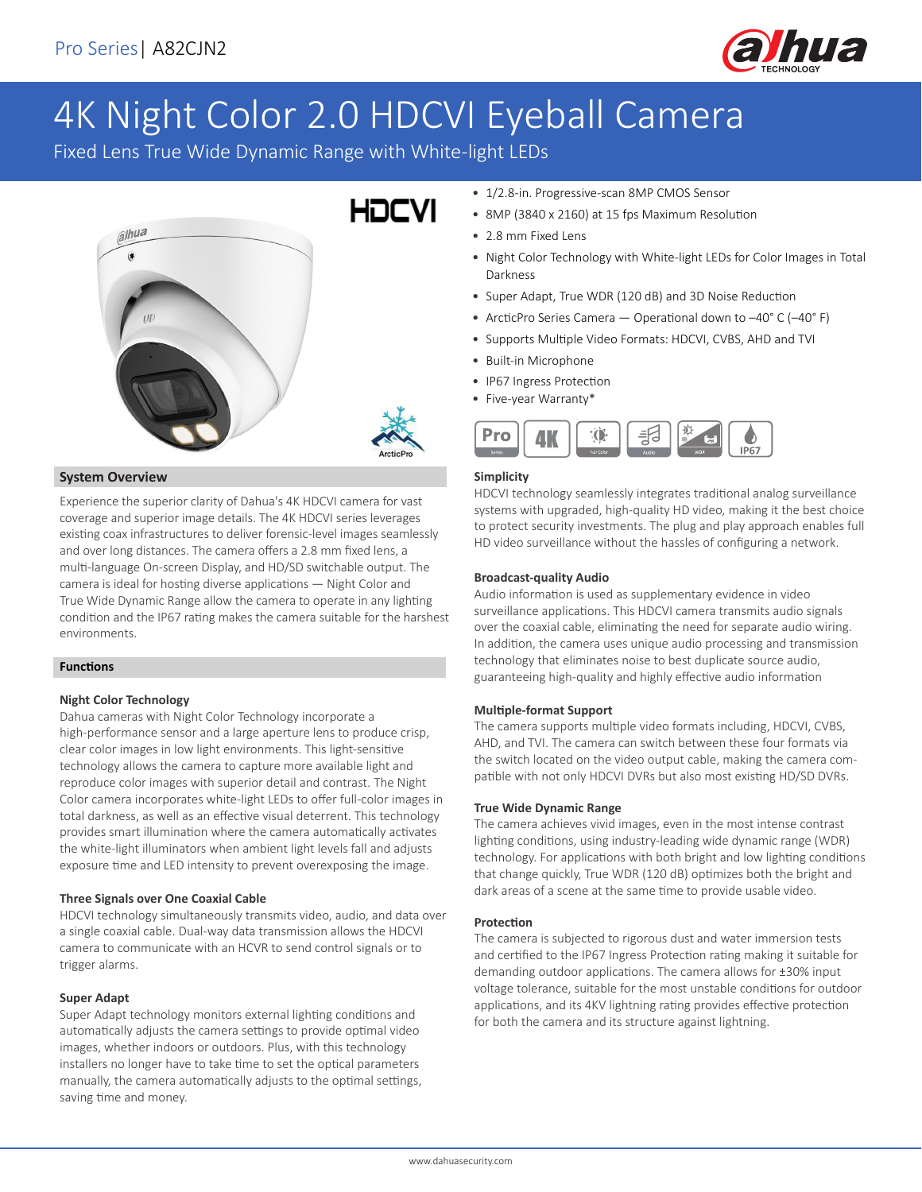

# 4K Night Color 2.0 HDCVI Eyeball Camera

Fixed Lens True Wide Dynamic Range with White-light LEDs



#### **System Overview**

Experience the superior clarity of Dahua's 4K HDCVI camera for vast coverage and superior image details. The 4K HDCVI series leverages existing coax infrastructures to deliver forensic-level images seamlessly and over long distances. The camera offers a 2.8 mm fixed lens, a multi-language On-screen Display, and HD/SD switchable output. The camera is ideal for hosting diverse applications — Night Color and True Wide Dynamic Range allow the camera to operate in any lighting condition and the IP67 rating makes the camera suitable for the harshest environments.

#### **Functions**

#### **Night Color Technology**

Dahua cameras with Night Color Technology incorporate a high-performance sensor and a large aperture lens to produce crisp, clear color images in low light environments. This light-sensitive technology allows the camera to capture more available light and reproduce color images with superior detail and contrast. The Night Color camera incorporates white-light LEDs to offer full-color images in total darkness, as well as an effective visual deterrent. This technology provides smart illumination where the camera automatically activates the white-light illuminators when ambient light levels fall and adjusts exposure time and LED intensity to prevent overexposing the image.

#### **Three Signals over One Coaxial Cable**

HDCVI technology simultaneously transmits video, audio, and data over a single coaxial cable. Dual-way data transmission allows the HDCVI camera to communicate with an HCVR to send control signals or to trigger alarms.

#### **Super Adapt**

Super Adapt technology monitors external lighting conditions and automatically adjusts the camera settings to provide optimal video images, whether indoors or outdoors. Plus, with this technology installers no longer have to take time to set the optical parameters manually, the camera automatically adjusts to the optimal settings, saving time and money.

- 1/2.8-in. Progressive-scan 8MP CMOS Sensor
- 8MP (3840 x 2160) at 15 fps Maximum Resolution
- 2.8 mm Fixed Lens
- Night Color Technology with White-light LEDs for Color Images in Total Darkness
- Super Adapt, True WDR (120 dB) and 3D Noise Reduction
- ArcticPro Series Camera Operational down to –40° C (–40° F)
- Supports Multiple Video Formats: HDCVI, CVBS, AHD and TVI
- Built-in Microphone
- IP67 Ingress Protection
- Five-year Warranty\*



#### **Simplicity**

HDCVI technology seamlessly integrates traditional analog surveillance systems with upgraded, high-quality HD video, making it the best choice to protect security investments. The plug and play approach enables full HD video surveillance without the hassles of configuring a network.

#### **Broadcast-quality Audio**

Audio information is used as supplementary evidence in video surveillance applications. This HDCVI camera transmits audio signals over the coaxial cable, eliminating the need for separate audio wiring. In addition, the camera uses unique audio processing and transmission technology that eliminates noise to best duplicate source audio, guaranteeing high-quality and highly effective audio information

#### **Multiple-format Support**

The camera supports multiple video formats including, HDCVI, CVBS, AHD, and TVI. The camera can switch between these four formats via the switch located on the video output cable, making the camera compatible with not only HDCVI DVRs but also most existing HD/SD DVRs.

#### **True Wide Dynamic Range**

The camera achieves vivid images, even in the most intense contrast lighting conditions, using industry-leading wide dynamic range (WDR) technology. For applications with both bright and low lighting conditions that change quickly, True WDR (120 dB) optimizes both the bright and dark areas of a scene at the same time to provide usable video.

#### **Protection**

The camera is subjected to rigorous dust and water immersion tests and certified to the IP67 Ingress Protection rating making it suitable for demanding outdoor applications. The camera allows for ±30% input voltage tolerance, suitable for the most unstable conditions for outdoor applications, and its 4KV lightning rating provides effective protection for both the camera and its structure against lightning.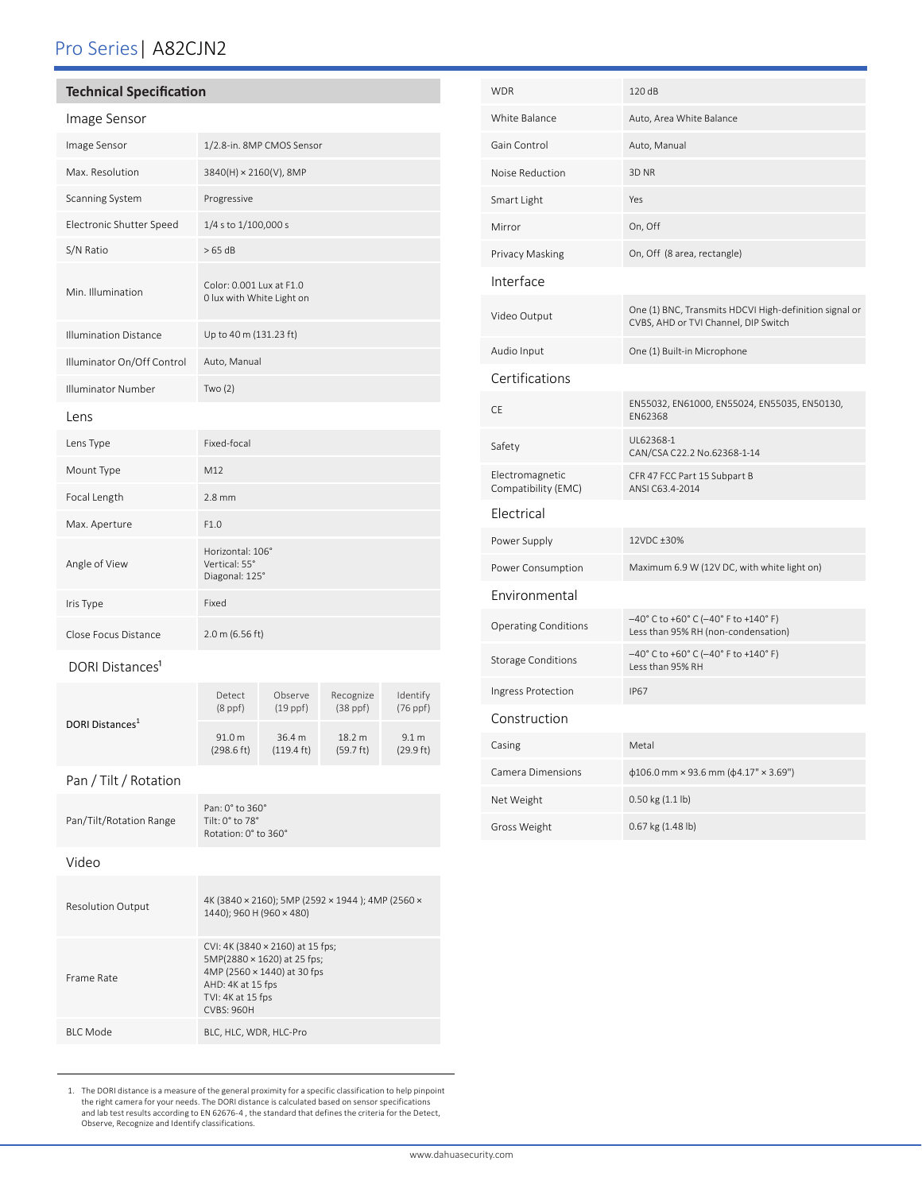# Pro Series| A82CJN2

## **Technical Specification**

| Image Sensor |  |
|--------------|--|
|--------------|--|

| Image Sensor                 | 1/2.8-in. 8MP CMOS Sensor                             |
|------------------------------|-------------------------------------------------------|
| Max. Resolution              | 3840(H) × 2160(V), 8MP                                |
| Scanning System              | Progressive                                           |
| Electronic Shutter Speed     | 1/4 s to 1/100,000 s                                  |
| S/N Ratio                    | $>65$ dB                                              |
| Min. Illumination            | Color: 0.001 Lux at F1.0<br>0 lux with White Light on |
| <b>Illumination Distance</b> | Up to 40 m (131.23 ft)                                |
| Illuminator On/Off Control   | Auto, Manual                                          |
| <b>Illuminator Number</b>    | Two $(2)$                                             |
| Lens                         |                                                       |
| Lens Type                    | Fixed-focal                                           |
| Mount Type                   | M <sub>12</sub>                                       |
| Focal Length                 | $2.8 \text{ mm}$                                      |
| Max. Aperture                | F1.0                                                  |
| Angle of View                | Horizontal: 106°<br>Vertical: 55°<br>Diagonal: 125°   |
| Iris Type                    | Fixed                                                 |
| Close Focus Distance         | 2.0 m (6.56 ft)                                       |

#### DORI Distances<sup>1</sup>

| DORI Distances <sup>1</sup> | Detect<br>$(8$ ppf $)$         | Observe<br>$(19$ ppf $)$       | Recognize<br>$(38$ ppf $)$    | Identify<br>$(76$ ppf $)$ |
|-----------------------------|--------------------------------|--------------------------------|-------------------------------|---------------------------|
|                             | 91.0 m<br>$(298.6 \text{ ft})$ | 36.4 m<br>$(119.4 \text{ ft})$ | 18.2 m<br>$(59.7 \text{ ft})$ | 9.1 m<br>(29.9 ft)        |

## Pan / Tilt / Rotation

| Pan/Tilt/Rotation Range  | Pan: 0° to 360°<br>Tilt: $0^\circ$ to $78^\circ$<br>Rotation: 0° to 360°                                                                                      |
|--------------------------|---------------------------------------------------------------------------------------------------------------------------------------------------------------|
| Video                    |                                                                                                                                                               |
| <b>Resolution Output</b> | 4K (3840 × 2160); 5MP (2592 × 1944); 4MP (2560 ×<br>1440); 960 H (960 × 480)                                                                                  |
| Frame Rate               | CVI: 4K (3840 × 2160) at 15 fps;<br>5MP(2880 × 1620) at 25 fps;<br>4MP (2560 × 1440) at 30 fps<br>AHD: 4K at 15 fps<br>TVI: 4K at 15 fps<br><b>CVBS: 960H</b> |
| <b>BIC</b> Mode          | BLC, HLC, WDR, HLC-Pro                                                                                                                                        |

1. The DORI distance is a measure of the general proximity for a specific classification to help pinpoint<br>the right camera for your needs. The DORI distance is calculated based on sensor specifications<br>and lab test results

| <b>WDR</b>                             | 120 dB                                                                                         |
|----------------------------------------|------------------------------------------------------------------------------------------------|
| White Balance                          | Auto, Area White Balance                                                                       |
| Gain Control                           | Auto, Manual                                                                                   |
| Noise Reduction                        | 3D <sub>NR</sub>                                                                               |
| Smart Light                            | Yes                                                                                            |
| Mirror                                 | On, Off                                                                                        |
| Privacy Masking                        | On, Off (8 area, rectangle)                                                                    |
| Interface                              |                                                                                                |
| Video Output                           | One (1) BNC, Transmits HDCVI High-definition signal or<br>CVBS, AHD or TVI Channel, DIP Switch |
| Audio Input                            | One (1) Built-in Microphone                                                                    |
| Certifications                         |                                                                                                |
| CE                                     | EN55032, EN61000, EN55024, EN55035, EN50130,<br>EN62368                                        |
| Safety                                 | UL62368-1<br>CAN/CSA C22.2 No.62368-1-14                                                       |
| Electromagnetic<br>Compatibility (EMC) | CFR 47 FCC Part 15 Subpart B<br>ANSI C63.4-2014                                                |
| Electrical                             |                                                                                                |
| Power Supply                           | 12VDC ±30%                                                                                     |
| Power Consumption                      | Maximum 6.9 W (12V DC, with white light on)                                                    |
| Environmental                          |                                                                                                |
| <b>Operating Conditions</b>            | -40° C to +60° C (-40° F to +140° F)<br>Less than 95% RH (non-condensation)                    |
| <b>Storage Conditions</b>              | -40° C to +60° C (-40° F to +140° F)<br>Less than 95% RH                                       |
| Ingress Protection                     | <b>IP67</b>                                                                                    |
| Construction                           |                                                                                                |
| Casing                                 | Metal                                                                                          |
| Camera Dimensions                      | $\phi$ 106.0 mm × 93.6 mm ( $\phi$ 4.17" × 3.69")                                              |
| Net Weight                             | 0.50 kg (1.1 lb)                                                                               |
| Gross Weight                           | 0.67 kg (1.48 lb)                                                                              |